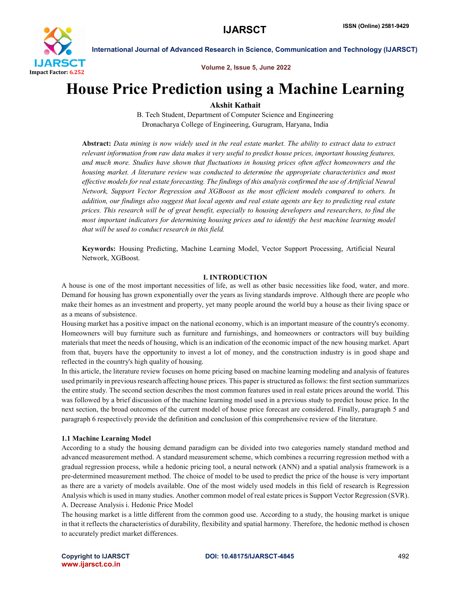

International Journal of Advanced Research in Science, Communication and Technology (IJARSCT)

Volume 2, Issue 5, June 2022

# House Price Prediction using a Machine Learning

Akshit Kathait

B. Tech Student, Department of Computer Science and Engineering Dronacharya College of Engineering, Gurugram, Haryana, India

Abstract: *Data mining is now widely used in the real estate market. The ability to extract data to extract relevant information from raw data makes it very useful to predict house prices, important housing features, and much more. Studies have shown that fluctuations in housing prices often affect homeowners and the housing market. A literature review was conducted to determine the appropriate characteristics and most effective models for real estate forecasting. The findings of this analysis confirmed the use of Artificial Neural Network, Support Vector Regression and XGBoost as the most efficient models compared to others. In addition, our findings also suggest that local agents and real estate agents are key to predicting real estate prices. This research will be of great benefit, especially to housing developers and researchers, to find the most important indicators for determining housing prices and to identify the best machine learning model that will be used to conduct research in this field.*

Keywords: Housing Predicting, Machine Learning Model, Vector Support Processing, Artificial Neural Network, XGBoost.

## I. INTRODUCTION

A house is one of the most important necessities of life, as well as other basic necessities like food, water, and more. Demand for housing has grown exponentially over the years as living standards improve. Although there are people who make their homes as an investment and property, yet many people around the world buy a house as their living space or as a means of subsistence.

Housing market has a positive impact on the national economy, which is an important measure of the country's economy. Homeowners will buy furniture such as furniture and furnishings, and homeowners or contractors will buy building materials that meet the needs of housing, which is an indication of the economic impact of the new housing market. Apart from that, buyers have the opportunity to invest a lot of money, and the construction industry is in good shape and reflected in the country's high quality of housing.

In this article, the literature review focuses on home pricing based on machine learning modeling and analysis of features used primarily in previous research affecting house prices. This paper is structured as follows: the first section summarizes the entire study. The second section describes the most common features used in real estate prices around the world. This was followed by a brief discussion of the machine learning model used in a previous study to predict house price. In the next section, the broad outcomes of the current model of house price forecast are considered. Finally, paragraph 5 and paragraph 6 respectively provide the definition and conclusion of this comprehensive review of the literature.

## 1.1 Machine Learning Model

According to a study the housing demand paradigm can be divided into two categories namely standard method and advanced measurement method. A standard measurement scheme, which combines a recurring regression method with a gradual regression process, while a hedonic pricing tool, a neural network (ANN) and a spatial analysis framework is a pre-determined measurement method. The choice of model to be used to predict the price of the house is very important as there are a variety of models available. One of the most widely used models in this field of research is Regression Analysis which is used in many studies. Another common model of real estate prices is Support Vector Regression (SVR). A. Decrease Analysis i. Hedonic Price Model

The housing market is a little different from the common good use. According to a study, the housing market is unique in that it reflects the characteristics of durability, flexibility and spatial harmony. Therefore, the hedonic method is chosen to accurately predict market differences.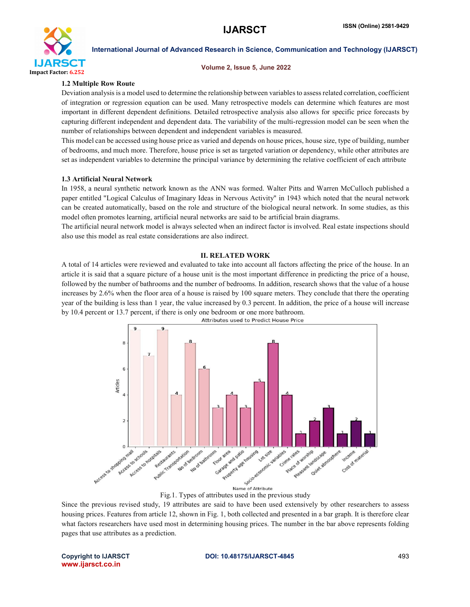

## International Journal of Advanced Research in Science, Communication and Technology (IJARSCT)

#### Volume 2, Issue 5, June 2022

## 1.2 Multiple Row Route

Deviation analysis is a model used to determine the relationship between variables to assess related correlation, coefficient of integration or regression equation can be used. Many retrospective models can determine which features are most important in different dependent definitions. Detailed retrospective analysis also allows for specific price forecasts by capturing different independent and dependent data. The variability of the multi-regression model can be seen when the number of relationships between dependent and independent variables is measured.

This model can be accessed using house price as varied and depends on house prices, house size, type of building, number of bedrooms, and much more. Therefore, house price is set as targeted variation or dependency, while other attributes are set as independent variables to determine the principal variance by determining the relative coefficient of each attribute

## 1.3 Artificial Neural Network

In 1958, a neural synthetic network known as the ANN was formed. Walter Pitts and Warren McCulloch published a paper entitled "Logical Calculus of Imaginary Ideas in Nervous Activity" in 1943 which noted that the neural network can be created automatically, based on the role and structure of the biological neural network. In some studies, as this model often promotes learning, artificial neural networks are said to be artificial brain diagrams.

The artificial neural network model is always selected when an indirect factor is involved. Real estate inspections should also use this model as real estate considerations are also indirect.

## II. RELATED WORK

A total of 14 articles were reviewed and evaluated to take into account all factors affecting the price of the house. In an article it is said that a square picture of a house unit is the most important difference in predicting the price of a house, followed by the number of bathrooms and the number of bedrooms. In addition, research shows that the value of a house increases by 2.6% when the floor area of a house is raised by 100 square meters. They conclude that there the operating year of the building is less than 1 year, the value increased by 0.3 percent. In addition, the price of a house will increase by 10.4 percent or 13.7 percent, if there is only one bedroom or one more bathroom.



Fig.1. Types of attributes used in the previous study

Since the previous revised study, 19 attributes are said to have been used extensively by other researchers to assess housing prices. Features from article 12, shown in Fig. 1, both collected and presented in a bar graph. It is therefore clear what factors researchers have used most in determining housing prices. The number in the bar above represents folding pages that use attributes as a prediction.

www.ijarsct.co.in

## Copyright to IJARSCT DOI: 10.48175/IJARSCT-4845 493